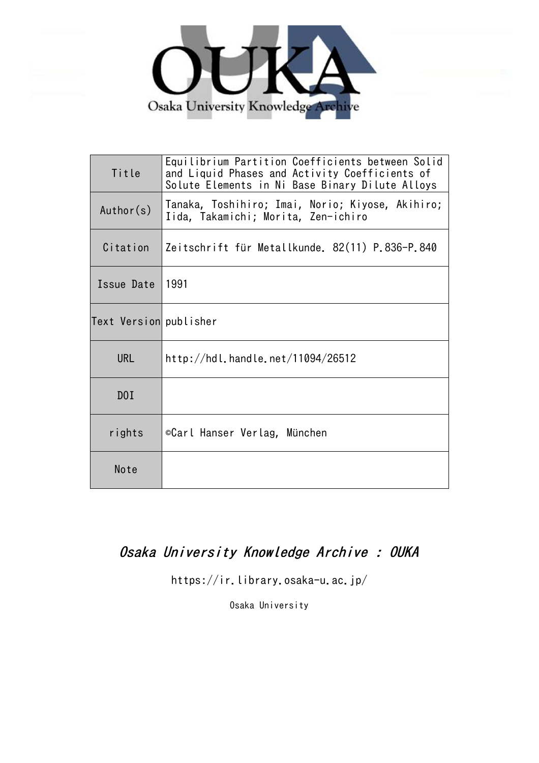

| Title                  | Equilibrium Partition Coefficients between Solid<br>and Liquid Phases and Activity Coefficients of<br>Solute Elements in Ni Base Binary Dilute Alloys |  |  |  |
|------------------------|-------------------------------------------------------------------------------------------------------------------------------------------------------|--|--|--|
| Author(s)              | Tanaka, Toshihiro; Imai, Norio; Kiyose, Akihiro;<br>Iida, Takamichi; Morita, Zen-ichiro                                                               |  |  |  |
| Citation               | Zeitschrift für Metallkunde. 82(11) P.836-P.840                                                                                                       |  |  |  |
| Issue Date             | 1991                                                                                                                                                  |  |  |  |
| Text Version publisher |                                                                                                                                                       |  |  |  |
| <b>URL</b>             | http://hdl.handle.net/11094/26512                                                                                                                     |  |  |  |
| D0I                    |                                                                                                                                                       |  |  |  |
| rights                 | ©Carl Hanser Verlag, München                                                                                                                          |  |  |  |
| Note                   |                                                                                                                                                       |  |  |  |

# Osaka University Knowledge Archive : OUKA

https://ir.library.osaka-u.ac.jp/

Osaka University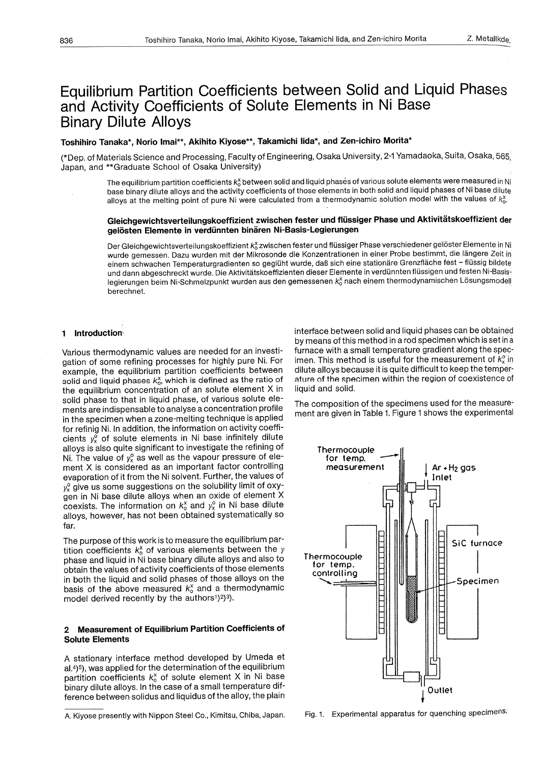# Equilibrium Partition Coefficients between Solid and Liquid Phases and Activity Coefficients of Solute Elements in Ni Base Binary Dilute Alloys

## Toshihiro Tanaka\*, Norio lmai\*\*, Akihito Kiyose\*\*, Takamichi lida\*, and Zen-ichiro Morita\*

(\*Dep. of Materials Science and Processing, Faculty of Engineering, Osaka University, 2-1 Yamadaoka, Suita, Osaka, <sup>565</sup> Japan, and \*\* Graduate School of Osaka University)

The equilibrium partition coefficients  $k_0^x$  between solid and liquid phases of various solute elements were measured in Ni base binary dilute alloys and the activity coefficients of those elements in both solid and liquid phases of Ni base dilute alloys at the melting point of pure Ni were calculated from a thermodynamic solution model with the values of  $k_{\alpha}^x$ .

## Gleichgewichtsverteilungskoeffizient zwischen fester und flüssiger Phase und Aktivitätskoeffizient der gelösten Elemente in verdünnten binären Ni-Basis-Legierungen

Der Gleichgewichtsverteilungskoeffizient k $\delta$ zwischen fester und flüssiger Phase verschiedener gelöster Elemente in Ni wurde gemessen. Dazu wurden mit der Mikrosonde die Konzentrationen in einer Probe bestimmt, die längere Zeit in einem schwachen Temperaturgradienten so geglüht wurde, daß sich eine stationäre Grenzfläche fest - flüssig bildete und dann abgeschreckt wurde. Die Aktivitätskoeffizienten dieser Elemente in verdünnten flüssigen und festen Ni-Basislegierungen beim Ni-Schmelzpunkt wurden aus den gemessenen  $k_0^x$ nach einem thermodynamischen Lösungsmodell berechnet.

#### 1 Introduction

Various thermodynamic values are needed for an investigation of some refining processes for highly pure Ni. For example, the equilibrium partition coefficients between solid and liquid phases  $k_{0}^{x}$ , which is defined as the ratio of the equilibrium concentration of an solute element X in solid phase to that in liquid phase, of various solute elements are indispensable to analyse a concentration profile in the specimen when a zone-melting technique is applied for refinig Ni. In addition, the information on activity coefficients  $y_x^{\sigma}$  of solute elements in Ni base infinitely dilute alloys is also quite significant to investigate the refining of Ni. The value of  $y_x^{\circ}$  as well as the vapour pressure of element X is considered as an important factor controlling evaporation of it from the Ni solvent. Further, the values of  $y_x^{\circ}$  give us some suggestions on the solubility limit of oxygen in Ni base dilute alloys when an oxide of element X coexists. The information on  $k_0^x$  and  $y_x^0$  in Ni base dilute alloys, however, has not been obtained systematically so far.

The purpose of this work is to measure the equilibrium partition coefficients  $k_0^x$  of various elements between the  $y$ phase and liquid in Ni base binary dilute alloys and also to obtain the values of activity coefficients of those elements in both the liquid and solid phases of those alloys on the basis of the above measured  $k_0^x$  and a thermodynamic model derived recently by the authors<sup>1</sup>)<sup>2</sup>)<sup>3</sup>).

#### 2 Measurement of Equilibrium Partition Coefficients of Solute Elements

A stationary interface method developed by Umeda et al.4)5), was applied for the determination of the equilibrium partition coefficients  $k_{o}^{x}$  of solute element X in Ni base binary dilute alloys. In the case of a small temperature difference between solidus and liquidus of the alloy, the plain interface between solid and liquid phases can be obtained by means of this method in a rod specimen which is set in <sup>a</sup> furnace with a small temperature gradient along the specimen. This method is useful for the measurement of  $k^{\circ}$  in dilute alloys because it is quite difficult to keep the temperature of the specimen within the region of coexistence of liquid and solid.

The composition of the specimens used for the measurement are given in Table 1. Figure 1 shows the experimental



Fig. 1. Experimental apparatus for quenching specimens.

A. Kiyose presently with Nippon Steel Co., Kimitsu, Chiba, Japan.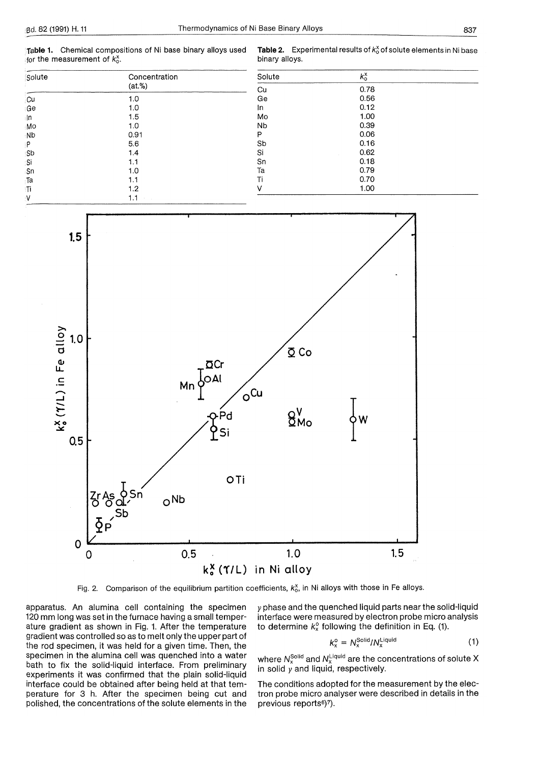Table **1.** Chemical compositions of Ni base binary alloys used for the measurement of  $k_0^x$ .

**Table 2.** Experimental results of  $k_0^x$  of solute elements in Ni base binary alloys.

| $\sim$ $\sim$ $\sim$ $\sim$ $\sim$ $\sim$<br>Solute | Concentration<br>$(at.\%)$ |  |  |
|-----------------------------------------------------|----------------------------|--|--|
| ∤Cu                                                 | 1.0                        |  |  |
| ≀Ge                                                 | 1.0                        |  |  |
| -ln                                                 | 1.5                        |  |  |
| Mo                                                  | 1.0                        |  |  |
| ⊹Nb                                                 | 0.91                       |  |  |
| ۱P                                                  | 5.6                        |  |  |
| sb                                                  | 1.4                        |  |  |
| Si                                                  | 1.1                        |  |  |
| .Sn                                                 | 1.0                        |  |  |
| Га                                                  | 1.1                        |  |  |
| ां                                                  | 1.2                        |  |  |
| N                                                   | 1.1                        |  |  |

| Solute | κô   |  |
|--------|------|--|
| Cu     | 0.78 |  |
| Ge     | 0.56 |  |
| In     | 0.12 |  |
| Mo     | 1.00 |  |
| Nb     | 0.39 |  |
| Ρ      | 0.06 |  |
| Sb     | 0.16 |  |
| Si     | 0.62 |  |
| Sn     | 0.18 |  |
| Ta     | 0.79 |  |
| Ti     | 0.70 |  |
| V      | 1.00 |  |



Fig. 2. Comparison of the equilibrium partition coefficients,  $k_0^x$ , in Ni alloys with those in Fe alloys.

apparatus. An alumina cell containing the specimen 120 mm long was set in the furnace having a small temperature gradient as shown in Fig. 1. After the temperature gradient was controlled so as to melt only the upper part of the rod specimen, it was held for a given time. Then, the specimen in the alumina cell was quenched into a water bath to fix the solid-liquid interface. From preliminary experiments it was confirmed that the plain solid-liquid interface could be obtained after being held at that temperature for 3 h. After the specimen being cut and polished, the concentrations of the solute elements in the

y phase and the quenched liquid parts near the solid-liquid interface were measured by electron probe micro analysis to determine  $k_x^0$  following the definition in Eq. (1).

$$
k_x^{\circ} = N_x^{\text{Solid}} / N_x^{\text{liquid}}
$$
 (1)

where  $N_{\rm v}^{\rm Solld}$  and  $N_{\rm v}^{\rm Liquid}$  are the concentrations of solute  ${\rm X}$ in solid  $y$  and liquid, respectively.

The conditions adopted for the measurement by the electron probe micro analyser were described in details in the previous reports<sup>6</sup>)<sup>7</sup>).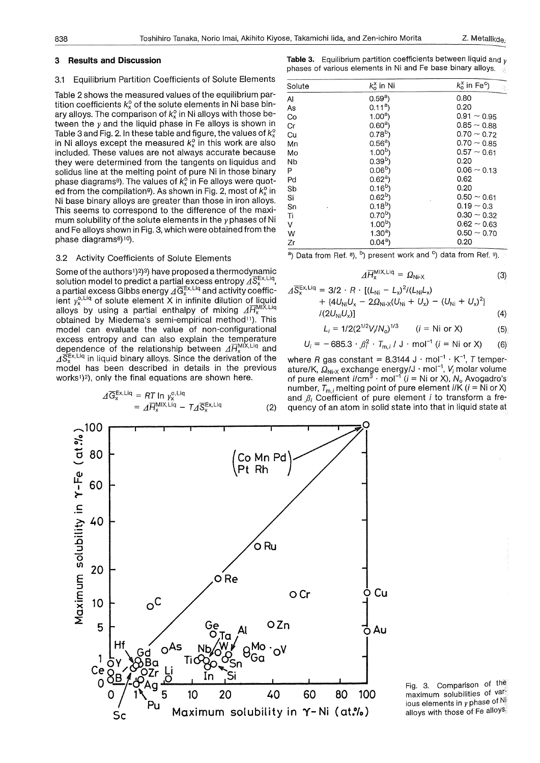#### 3.1 Equilibrium Partition Coefficients of Solute Elements

Table 2 shows the measured values of the equilibrium partition coefficients  $k_{y}^{\circ}$  of the solute elements in Ni base binary alloys. The comparison of  $k_{x}^{\circ}$  in Ni alloys with those between the  $y$  and the liquid phase in Fe alloys is shown in Table 3 and Fig. 2. In these table and figure, the values of  $k_{x}^{0}$ in Ni alloys except the measured  $k_x^{\circ}$  in this work are also included. These values are not always accurate because they were determined from the tangents on liquidus and solidus line at the melting point of pure Ni in those binary phase diagrams<sup>8</sup>). The values of  $k_x^{\circ}$  in Fe alloys were quoted from the compilation<sup>9</sup>). As shown in Fig. 2, most of  $k_{r}^{0}$  in Ni base binary alloys are greater than those in iron alloys. This seems to correspond to the difference of the maximum solubility of the solute elements in the  $y$  phases of Ni and Fe alloys shown in Fig. 3, which were obtained from the phase diagrams<sup>8</sup>)<sup>10</sup>).

#### 3.2 Activity Coefficients of Solute Elements

Some of the authors<sup>1</sup>)<sup>2</sup>)<sup>3</sup>) have proposed a thermodynamic solution model to predict a partial excess entropy  $\vec{A} \cdot \vec{S}^{Ex,Liq}_{x}$ a partial excess Gibbs energy  $\sqrt{G_{x}^{Ex,Liq}}$  and activity coefficient  $y_{\alpha}^{o,\text{Liq}}$  of solute element X in infinite dilution of liquid alloys by using a partial enthalpy of mixing  $\Delta \overline{H}_x^{\text{M1X,Liq}}$ obtained by Miedema's semi-empirical method<sup>11</sup>). This model can evaluate the value of non-configurational excess entropy and can also explain the temperature dependence of the relationship between  $\Delta H_{\rm x}^{\rm MIX,Liq}$  and  $\overline{A}\overline{S}_{x}^{Ex,Liq}$  in liquid binary alloys. Since the derivation of the model has been described in details in the previous works<sup>1</sup>)<sup>2</sup>), only the final equations are shown here.

$$
\begin{aligned} \n\varDelta \overline{G}_{x}^{\text{Ex,Liq}} &= RT \ln y_{x}^{\text{o,Liq}} \\ \n&= \varDelta \overline{H}_{x}^{\text{MIX,Liq}} - T \varDelta \overline{S}_{x}^{\text{Ex,Liq}} \n\end{aligned} \tag{2}
$$

**Table** 3. Equilibrium partition coefficients between liquid and *<sup>v</sup>* phases of various elements in Ni and Fe base binary alloys.

| Solute | $k_{o}^{x}$ in Ni | $\kappa_0^x$ in Fe <sup>c</sup> )<br>्र |
|--------|-------------------|-----------------------------------------|
| Al     | $0.59a$ )         | 0.80                                    |
| As     | 0.11 <sup>a</sup> | 0.20                                    |
| Co     | 1.00 <sup>a</sup> | $0.91 - 0.95$                           |
| Сr     | 0.60 <sup>a</sup> | $0.85 - 0.88$                           |
| Cu     | 0.78 <sup>b</sup> | $0.70 \sim 0.72$                        |
| Mn     | 0.56 <sup>a</sup> | $0.70 - 0.85$                           |
| Mo     | 1.00 <sup>b</sup> | $0.57 - 0.61$                           |
| Nb     | 0.39 <sup>b</sup> | 0.20                                    |
| P      | 0.06 <sup>b</sup> | $0.06 - 0.13$                           |
| Pd     | $0.62^{\text{a}}$ | 0.62                                    |
| Sb     | $0.16^{b}$        | 0.20                                    |
| Si     | $0.62^{b}$        | $0.50 \sim 0.61$                        |
| Sn     | $0.18^{b}$        | $0.19 - 0.3$                            |
| Ti     | $0.70^{b}$        | $0.30 \sim 0.32$                        |
| V      | 1.00 <sup>b</sup> | $0.62 - 0.63$                           |
| W      | $1.30a$ )         | $0.50 \sim 0.70$                        |
| Zr     | $0.04^{\rm a}$    | 0.20                                    |

<sup>a</sup>) Data from Ref.  $8$ ,  $b$ ) present work and  $c$ ) data from Ref.  $9$ .

$$
\Delta \overline{H}_{\mathsf{x}}^{\mathsf{MIX},\mathsf{Liq}} = \Omega_{\mathsf{Ni}\text{-}\mathsf{x}} \tag{3}
$$

$$
\begin{aligned} \nA \overline{S}_{x}^{\text{Ex,Liq}} &= 3/2 \cdot R \cdot \left[ (L_{\text{Ni}} - L_{\text{x}})^2 / (L_{\text{Ni}} L_{\text{x}}) \right. \\ \n&\quad + \left\{ 4U_{\text{Ni}} U_{\text{x}} - 2\Omega_{\text{Ni-x}} (U_{\text{Ni}} + U_{\text{x}}) - (U_{\text{Ni}} + U_{\text{x}})^2 \right\} \\ \n&\quad / (2U_{\text{Ni}} U_{\text{x}}) \right] \n\end{aligned} \tag{4}
$$

$$
L_i = 1/2(2^{1/2}V_i/N_o)^{1/3} \qquad (i = \text{Ni or X})
$$
 (5)

$$
U_i = -685.3 \cdot \beta_i^2 \cdot T_{m,i} / J \cdot mol^{-1} (i = Ni \text{ or } X)
$$
 (6)

where *R* gas constant = 8.3144 J  $\cdot$  mol<sup>-1</sup>  $\cdot$  K<sup>-1</sup>, *T* temperature/K,  $\overline{Q}_{Ni-X}$  exchange energy/J · mol<sup>-1</sup>, V<sub>i</sub> molar volume of pure element i/cm<sup>3</sup> · mol<sup>-1</sup> ( $i =$  Ni or X),  $N_0$  Avogadro's number,  $T_{m,i}$  melting point of pure element *i*/K ( $i =$  Ni or X) and  $\beta_i$  Coefficient of pure element *i* to transform a frequency of an atom in solid state into that in liquid state at



Fig. 3. Comparison of the maximum solubilities of various elements in *y* phase of Ni alloys with those of Fe alloys.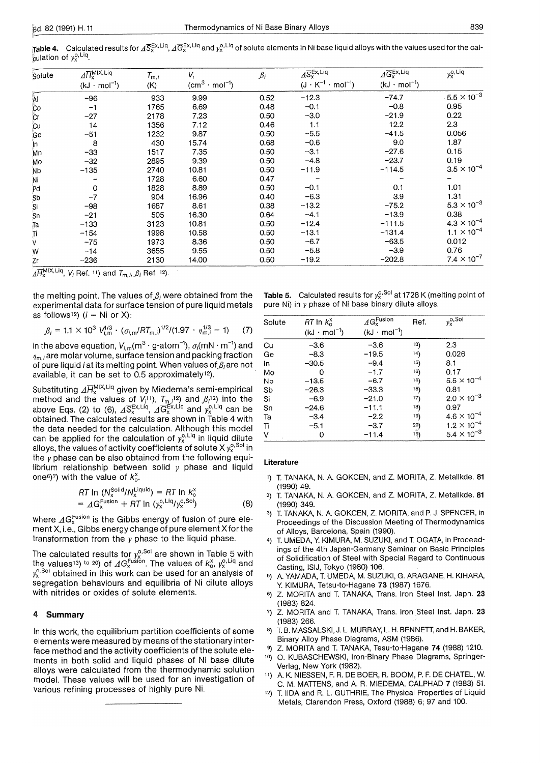| Solute               | $\widehat{\mathcal{AH}}^{\mathsf{MIX},\mathsf{Liq}}_{\mathsf{Y}}$ | $T_{m,i}$ | $V_i$                   | $\beta_i$ | $\Lambda$ S <sub>x</sub> Ex, Liq  | $\Delta \overline{G}_{x}^{Ex, Liq}$ | $y_{x}^{o,Liq}$       |
|----------------------|-------------------------------------------------------------------|-----------|-------------------------|-----------|-----------------------------------|-------------------------------------|-----------------------|
|                      | $(kJ \cdot mol^{-1})$                                             | (K)       | $(cm^3 \cdot mol^{-1})$ |           | $(J \cdot K^{-1} \cdot mol^{-1})$ | $(kJ \cdot mol^{-1})$               |                       |
| Āl                   | $-96$                                                             | 933       | 9.99                    | 0.52      | $-12.3$                           | $-74.7$                             | $.5.5 \times 10^{-3}$ |
| <b>Co</b>            | $-1$                                                              | 1765      | 6.69                    | 0.48      | $-0.1$                            | $-0.8$                              | 0.95                  |
| Cr                   | $-27$                                                             | 2178      | 7.23                    | 0.50      | $-3.0$                            | $-21.9$                             | 0.22                  |
| <b>Cu</b>            | 14                                                                | 1356      | 7.12                    | 0.46      | 1.1                               | 12.2                                | 2.3                   |
| Ge                   | $-51$                                                             | 1232      | 9.87                    | 0.50      | $-5.5$                            | $-41.5$                             | 0.056                 |
| Jn.                  | 8                                                                 | 430       | 15.74                   | 0.68      | $-0.6$                            | 9.0                                 | 1.87                  |
| Mn                   | $-33$                                                             | 1517      | 7.35                    | 0.50      | $-3.1$                            | $-27.6$                             | 0.15                  |
| Mo                   | $-32$                                                             | 2895      | 9.39                    | 0.50      | $-4.8$                            | $-23.7$                             | 0.19                  |
| <b>N<sub>D</sub></b> | $-135$                                                            | 2740      | 10.81                   | 0.50      | $-11.9$                           | $-114.5$                            | $3.5 \times 10^{-4}$  |
| Ni                   |                                                                   | 1728      | 6.60                    | 0.47      |                                   |                                     |                       |
| Pd                   | 0                                                                 | 1828      | 8.89                    | 0.50      | $-0.1$                            | 0.1                                 | 1.01                  |
| <b>Sb</b>            | $-7$                                                              | 904       | 16.96                   | 0.40      | $-6.3$                            | 3.9                                 | 1.31                  |
| Si                   | $-98$                                                             | 1687      | 8.61                    | 0.38      | $-13.2$                           | $-75.2$                             | $5.3 \times 10^{-3}$  |
| Sn                   | $-21$                                                             | 505       | 16.30                   | 0.64      | $-4.1$                            | $-13.9$                             | 0.38                  |
| Ţа                   | $-133$                                                            | 3123      | 10.81                   | 0.50      | $-12.4$                           | $-111.5$                            | $4.3 \times 10^{-4}$  |
| Ti                   | $-154$                                                            | 1998      | 10.58                   | 0.50      | $-13.1$                           | $-131.4$                            | $1.1 \times 10^{-4}$  |
| ٨                    | $-75$                                                             | 1973      | 8.36                    | 0.50      | $-6.7$                            | $-63.5$                             | 0.012                 |
| W                    | $-14$                                                             | 3655      | 9.55                    | 0.50      | $-5.8$                            | $-3.9$                              | 0.76                  |
| Zr                   | $-236$                                                            | 2130      | 14.00                   | 0.50      | $-19.2$                           | $-202.8$                            | $7.4 \times 10^{-7}$  |

 $A\overline{H}_{x}^{\textsf{MIX},\textsf{Liq}}, V_i$  Ref. 11) and  $T_{m,i}, \beta_i$  Ref. 12).

the melting point. The values of  $\beta_i$  were obtained from the experimental data for surface tension of pure liquid metals as follows<sup>12</sup>)  $(i = Ni$  or X):

$$
\beta_i = 1.1 \times 10^3 \, V_{i,m}^{1/3} \cdot (\sigma_{i,m}/RT_{m,i})^{1/2}/(1.97 \cdot \eta_{m,i}^{1/3} - 1) \tag{7}
$$

In the above equation,  $V_{i,m}$ (m<sup>3</sup> · g-atom<sup>-1</sup>),  $\sigma_i$ (mN · m<sup>-1</sup>) and  $\eta_{m,i}$  are molar volume, surface tension and packing fraction of pure liquid i at its melting point. When values of  $\beta_i$  are not available, it can be set to 0.5 approximately12).

Substituting  $\varDelta H_\mathrm{x}^\mathrm{MLAG}$  given by Miedema's semi-empirical method and the values of  $V_i$ <sup>11</sup>),  $T_{m,i}$ <sup>12</sup>) and  $\beta_i$ <sup>12</sup>) into the above Eqs. (2) to (6),  $\Delta S_{\rm x}^{\rm ex, uq}$ ,  $\Delta G_{\rm x}^{\rm ex, uq}$  and  $y_{\rm x}^{\rm o, uq}$  can be obtained. The calculated results are shown in Table 4 with the data needed for the calculation. Although this model can be applied for the calculation of  $y_x^{0,Liq}$  in liquid dilute alloys, the values of activity coefficients of solute X  $y_x^{\circ}$ , sol in the *y* phase can be also obtained from the following equilibrium relationship between solid *y* phase and liquid one<sup>6</sup>)<sup>7</sup>) with the value of  $k_0^x$ .

RT In 
$$
(N_x^{\text{Solid}}/N_x^{\text{Liquid}}) = RT \ln K_0^x
$$
  
\n $= \Delta G_x^{\text{Lusion}} + RT \ln (y_x^{\text{o}, \text{Liq}}/y_x^{\text{o}, \text{Sol}})$  (8)

where  $\angle AG_x^{\text{Fusion}}$  is the Gibbs energy of fusion of pure element X, i.e., Gibbs energy change of pure element X for the transformation from the *y* phase to the liquid phase.

The calculated results for  $v^{0,\infty}_{\nu}$  are shown in Table 5 with the values<sup>13</sup>) to 20) of  $\Delta G_{x}^{\text{Fusion}}$ . The values of  $k_{0}^{x}$ ,  $y_{x}^{0,1,q}$  and  $y_x^{\circ}$ <sup>50</sup> obtained in this work can be used for an analysis of segregation behaviours and equilibria of Ni dilute alloys with nitrides or oxides of solute elements.

#### **4 Summary**

In this work, the equilibrium partition coefficients of some elements were measured by means of the stationary interface method and the activity coefficients of the solute elements in both solid and liquid phases of Ni base dilute alloys were calculated from the thermodynamic solution model. These values will be used for an investigation of various refining processes of highly pure Ni.

**Table 5.** Calculated results for  $y_x^{\text{o},\text{Sol}}$  at 1728 K (melting point of pure Ni) in *y* phase of Ni base binary dilute alloys.

| Solute | $RT$ In $k_0^x$<br>$(kJ \cdot mol^{-1})$ | $\varDelta G_{\rm x}^{\rm Fusion}$<br>$(kJ \cdot mol^{-1})$ | Ref.             | $v_{\rm x}^{\rm o, Sol}$ |
|--------|------------------------------------------|-------------------------------------------------------------|------------------|--------------------------|
| Cu     | $-3.6$                                   | $-3.6$                                                      | 13)              | 2.3                      |
| Ge     | $-8.3$                                   | $-19.5$                                                     | 14)              | 0.026                    |
| In     | $-30.5$                                  | $-9.4$                                                      | 15)              | 8.1                      |
| Mo     | 0                                        | $-1.7$                                                      | 16)              | 0.17                     |
| Nb     | $-13.5$                                  | $-6.7$                                                      | 16)              | $5.5 \times 10^{-4}$     |
| Sb     | $-26.3$                                  | $-33.3$                                                     | 15)              | 0.81                     |
| Si     | $-6.9$                                   | $-21.0$                                                     | 17)              | $2.0 \times 10^{-3}$     |
| Sn     | $-24.6$                                  | $-11.1$                                                     | 18)              | 0.97                     |
| Ta     | $-3.4$                                   | $-2.2$                                                      | 19)              | $4.6 \times 10^{-4}$     |
| Ti     | $-5.1$                                   | $-3.7$                                                      |                  | $1.2 \times 10^{-4}$     |
| ٧      | 0                                        | $-11.4$                                                     | $\binom{20}{19}$ | $5.4 \times 10^{-3}$     |

#### **Literature**

- 1) T. TANAKA, N. A. GOKCEN, and Z. MORITA, Z. Metallkde. **<sup>81</sup>** (1990) 49.
- 2) T. TANAKA, N. A. GOKCEN, and Z. MORITA, Z. Metallkde. **81**  (1990) 349.
- T. TANAKA, N. A. GOKCEN, Z. MORITA, and P. J. SPENCER, in Proceedings of the Discussion Meeting of Thermodynamics of Alloys, Barcelona, Spain (1990).
- 4) T. UMEDA, Y. KIMURA, M. SUZUKI, and T. OGATA, in Proceedings of the 4th Japan-Germany Seminar on Basic Principles of Solidification of Steel with Special Regard to Continuous Casting, ISIJ, Tokyo (1980) 106.
- 5) A. YAMADA, T. UMEDA, M. SUZUKI, G. ARAGANE, H. KIHARA, Y. KIMURA, Tetsu-to-Hagane **73** (1987) 1676.
- 6) Z. MORITA and T. TANAKA, Trans. Iron Steel lnst. Japn. **23**  (1983) 824.
- 7) Z. MORITA and T. TANAKA, Trans. Iron Steel lnst. Japn. **23**  (1983) 266.
- T. B. MASSALSKI, J. L. MURRAY, L. H. BENNETT, and H. BAKER, Binary Alloy Phase Diagrams, ASM (1986).
- 9) Z. MORITA and T. TANAKA, Tesu-to-Hagane **74** (1988) 1210.
- 10) 0. KUBASCHEWSKI, Iron-Binary Phase Diagrams, Springer-Verlag, New York (1982).
- 11) A. K. NIESSEN, F. R. DE BOER, R. BOOM, P. F. DE CHATEL, W. C. M. MATIENS, and A. R. MIEDEMA, CALPHAD **7** (1983) 51.
- 12) T. IIDA and R. L. GUTHRIE, The Physical Properties of Liquid Metals, Clarendon Press, Oxford (1988) 6; 97 and 100.